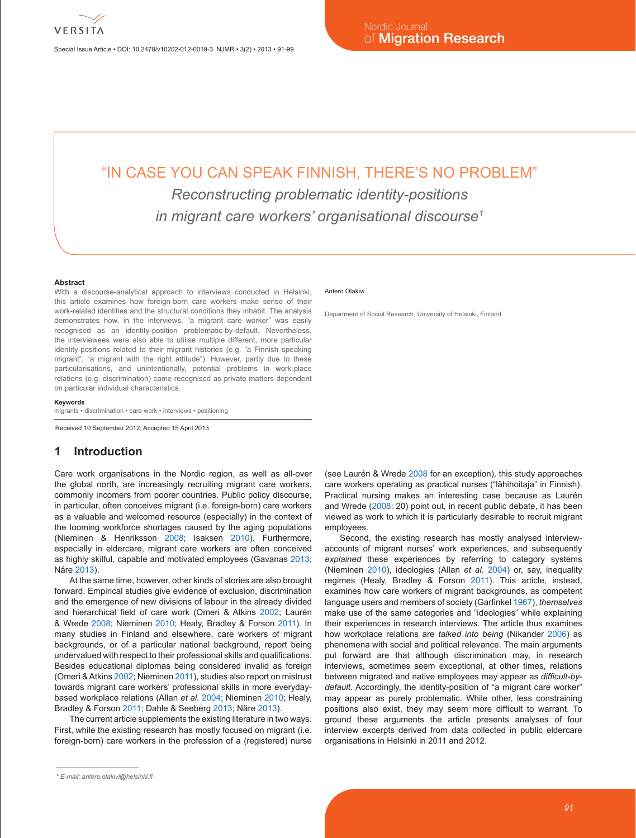Special Issue Article • DOI: 10.2478/v10202-012-0019-3 NJMR • 3(2) • 2013 • 91-99

# "IN CASE YOU CAN SPEAK FINNISH, THERE'S NO PROBLEM" *Reconstructing problematic identity-positions in migrant care workers' organisational discourse1*

#### **Abstract**

With a discourse-analytical approach to interviews conducted in Helsinki, this article examines how foreign-born care workers make sense of their work-related identities and the structural conditions they inhabit. The analysis demonstrates how, in the interviews, "a migrant care worker" was easily recognised as an identity-position problematic-by-default. Nevertheless, the interviewees were also able to utilise multiple different, more particular identity-positions related to their migrant histories (e.g. "a Finnish speaking migrant", "a migrant with the right attitude"). However, partly due to these particularisations, and unintentionally, potential problems in work-place relations (e.g. discrimination) came recognised as private matters dependent on particular individual characteristics.

#### **Keywords**

migrants • discrimination • care work • interviews • positioning

Received 10 September 2012; Accepted 15 April 2013

### **1 Introduction**

Care work organisations in the Nordic region, as well as all-over the global north, are increasingly recruiting migrant care workers, commonly incomers from poorer countries. Public policy discourse, in particular, often conceives migrant (i.e. foreign-born) care workers as a valuable and welcomed resource (especially) in the context of the looming workforce shortages caused by the aging populations (Nieminen & Henriksson 2008; Isaksen 2010). Furthermore, especially in eldercare, migrant care workers are often conceived as highly skilful, capable and motivated employees (Gavanas 2013; Näre 2013).

At the same time, however, other kinds of stories are also brought forward. Empirical studies give evidence of exclusion, discrimination and the emergence of new divisions of labour in the already divided and hierarchical field of care work (Omeri & Atkins 2002; Laurén & Wrede 2008; Nieminen 2010; Healy, Bradley & Forson 2011). In many studies in Finland and elsewhere, care workers of migrant backgrounds, or of a particular national background, report being undervalued with respect to their professional skills and qualifications. Besides educational diplomas being considered invalid as foreign (Omeri & Atkins 2002; Nieminen 2011), studies also report on mistrust towards migrant care workers' professional skills in more everydaybased workplace relations (Allan *et al.* 2004; Nieminen 2010; Healy, Bradley & Forson 2011; Dahle & Seeberg 2013; Näre 2013).

The current article supplements the existing literature in two ways. First, while the existing research has mostly focused on migrant (i.e. foreign-born) care workers in the profession of a (registered) nurse

#### Antero Olakivi

Department of Social Research, University of Helsinki, Finland

(see Laurén & Wrede 2008 for an exception), this study approaches care workers operating as practical nurses ("lähihoitaja" in Finnish). Practical nursing makes an interesting case because as Laurén and Wrede (2008: 20) point out, in recent public debate, it has been viewed as work to which it is particularly desirable to recruit migrant employees.

Second, the existing research has mostly analysed interviewaccounts of migrant nurses' work experiences, and subsequently *explained* these experiences by referring to category systems (Nieminen 2010), ideologies (Allan *et al.* 2004) or, say, inequality regimes (Healy, Bradley & Forson 2011). This article, instead, examines how care workers of migrant backgrounds, as competent language users and members of society (Garfinkel 1967), *themselves* make use of the same categories and "ideologies" while explaining their experiences in research interviews. The article thus examines how workplace relations are *talked into being* (Nikander 2006) as phenomena with social and political relevance. The main arguments put forward are that although discrimination may, in research interviews, sometimes seem exceptional, at other times, relations between migrated and native employees may appear as *difficult-bydefault*. Accordingly, the identity-position of "a migrant care worker" may appear as purely problematic. While other, less constraining positions also exist, they may seem more difficult to warrant. To ground these arguments the article presents analyses of four interview excerpts derived from data collected in public eldercare organisations in Helsinki in 2011 and 2012.

*<sup>\*</sup> E-mail: antero.olakivi@helsinki.fi*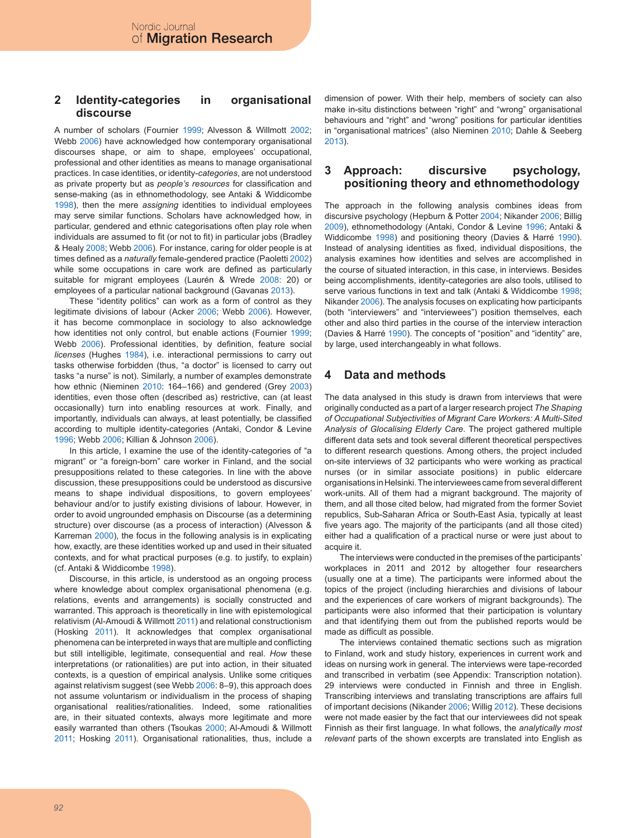#### **2 Identity-categories in organisational discourse**

A number of scholars (Fournier 1999; Alvesson & Willmott 2002; Webb 2006) have acknowledged how contemporary organisational discourses shape, or aim to shape, employees' occupational, professional and other identities as means to manage organisational practices. In case identities, or identity-*categories*, are not understood as private property but as *people's resources* for classification and sense-making (as in ethnomethodology, see Antaki & Widdicombe 1998), then the mere *assigning* identities to individual employees may serve similar functions. Scholars have acknowledged how, in particular, gendered and ethnic categorisations often play role when individuals are assumed to fit (or not to fit) in particular jobs (Bradley & Healy 2008; Webb 2006). For instance, caring for older people is at times defined as a *naturally* female-gendered practice (Paoletti 2002) while some occupations in care work are defined as particularly suitable for migrant employees (Laurén & Wrede 2008: 20) or employees of a particular national background (Gavanas 2013).

These "identity politics" can work as a form of control as they legitimate divisions of labour (Acker 2006; Webb 2006). However, it has become commonplace in sociology to also acknowledge how identities not only control, but enable actions (Fournier 1999; Webb 2006). Professional identities, by definition, feature social *licenses* (Hughes 1984), i.e. interactional permissions to carry out tasks otherwise forbidden (thus, "a doctor" is licensed to carry out tasks "a nurse" is not). Similarly, a number of examples demonstrate how ethnic (Nieminen 2010: 164–166) and gendered (Grey 2003) identities, even those often (described as) restrictive, can (at least occasionally) turn into enabling resources at work. Finally, and importantly, individuals can always, at least potentially, be classified according to multiple identity-categories (Antaki, Condor & Levine 1996; Webb 2006; Killian & Johnson 2006).

In this article, I examine the use of the identity-categories of "a migrant" or "a foreign-born" care worker in Finland, and the social presuppositions related to these categories. In line with the above discussion, these presuppositions could be understood as discursive means to shape individual dispositions, to govern employees' behaviour and/or to justify existing divisions of labour. However, in order to avoid ungrounded emphasis on Discourse (as a determining structure) over discourse (as a process of interaction) (Alvesson & Karreman 2000), the focus in the following analysis is in explicating how, exactly, are these identities worked up and used in their situated contexts, and for what practical purposes (e.g. to justify, to explain) (cf. Antaki & Widdicombe 1998).

Discourse, in this article, is understood as an ongoing process where knowledge about complex organisational phenomena (e.g. relations, events and arrangements) is socially constructed and warranted. This approach is theoretically in line with epistemological relativism (Al-Amoudi & Willmott 2011) and relational constructionism (Hosking 2011). It acknowledges that complex organisational phenomena can be interpreted in ways that are multiple and conflicting but still intelligible, legitimate, consequential and real. *How* these interpretations (or rationalities) are put into action, in their situated contexts, is a question of empirical analysis. Unlike some critiques against relativism suggest (see Webb 2006: 8–9), this approach does not assume voluntarism or individualism in the process of shaping organisational realities/rationalities. Indeed, some rationalities are, in their situated contexts, always more legitimate and more easily warranted than others (Tsoukas 2000; Al-Amoudi & Willmott 2011; Hosking 2011). Organisational rationalities, thus, include a dimension of power. With their help, members of society can also make in-situ distinctions between "right" and "wrong" organisational behaviours and "right" and "wrong" positions for particular identities in "organisational matrices" (also Nieminen 2010; Dahle & Seeberg 2013).

## **3 Approach: discursive psychology, positioning theory and ethnomethodology**

The approach in the following analysis combines ideas from discursive psychology (Hepburn & Potter 2004; Nikander 2006; Billig 2009), ethnomethodology (Antaki, Condor & Levine 1996; Antaki & Widdicombe 1998) and positioning theory (Davies & Harré 1990). Instead of analysing identities as fixed, individual dispositions, the analysis examines how identities and selves are accomplished in the course of situated interaction, in this case, in interviews. Besides being accomplishments, identity-categories are also tools, utilised to serve various functions in text and talk (Antaki & Widdicombe 1998; Nikander 2006). The analysis focuses on explicating how participants (both "interviewers" and "interviewees") position themselves, each other and also third parties in the course of the interview interaction (Davies & Harré 1990). The concepts of "position" and "identity" are, by large, used interchangeably in what follows.

### **4 Data and methods**

The data analysed in this study is drawn from interviews that were originally conducted as a part of a larger research project *The Shaping of Occupational Subjectivities of Migrant Care Workers: A Multi-Sited Analysis of Glocalising Elderly Care*. The project gathered multiple different data sets and took several different theoretical perspectives to different research questions. Among others, the project included on-site interviews of 32 participants who were working as practical nurses (or in similar associate positions) in public eldercare organisations in Helsinki. The interviewees came from several different work-units. All of them had a migrant background. The majority of them, and all those cited below, had migrated from the former Soviet republics, Sub-Saharan Africa or South-East Asia, typically at least five years ago. The majority of the participants (and all those cited) either had a qualification of a practical nurse or were just about to acquire it.

The interviews were conducted in the premises of the participants' workplaces in 2011 and 2012 by altogether four researchers (usually one at a time). The participants were informed about the topics of the project (including hierarchies and divisions of labour and the experiences of care workers of migrant backgrounds). The participants were also informed that their participation is voluntary and that identifying them out from the published reports would be made as difficult as possible.

The interviews contained thematic sections such as migration to Finland, work and study history, experiences in current work and ideas on nursing work in general. The interviews were tape-recorded and transcribed in verbatim (see Appendix: Transcription notation). 29 interviews were conducted in Finnish and three in English. Transcribing interviews and translating transcriptions are affairs full of important decisions (Nikander 2006; Willig 2012). These decisions were not made easier by the fact that our interviewees did not speak Finnish as their first language. In what follows, the *analytically most relevant* parts of the shown excerpts are translated into English as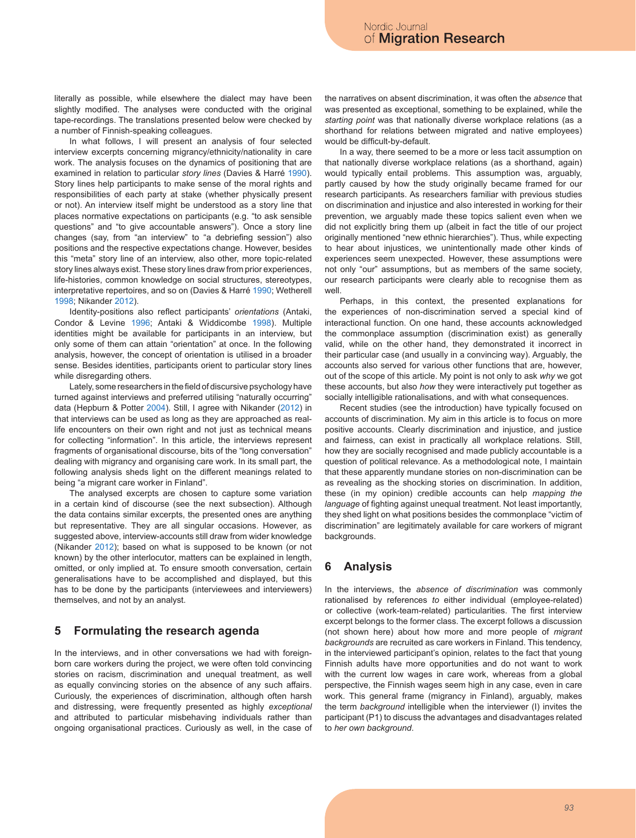literally as possible, while elsewhere the dialect may have been slightly modified. The analyses were conducted with the original tape-recordings. The translations presented below were checked by a number of Finnish-speaking colleagues.

In what follows, I will present an analysis of four selected interview excerpts concerning migrancy/ethnicity/nationality in care work. The analysis focuses on the dynamics of positioning that are examined in relation to particular *story lines* (Davies & Harré 1990). Story lines help participants to make sense of the moral rights and responsibilities of each party at stake (whether physically present or not). An interview itself might be understood as a story line that places normative expectations on participants (e.g. "to ask sensible questions" and "to give accountable answers"). Once a story line changes (say, from "an interview" to "a debriefing session") also positions and the respective expectations change. However, besides this "meta" story line of an interview, also other, more topic-related story lines always exist. These story lines draw from prior experiences, life-histories, common knowledge on social structures, stereotypes, interpretative repertoires, and so on (Davies & Harré 1990; Wetherell 1998; Nikander 2012).

Identity-positions also reflect participants' *orientations* (Antaki, Condor & Levine 1996; Antaki & Widdicombe 1998). Multiple identities might be available for participants in an interview, but only some of them can attain "orientation" at once. In the following analysis, however, the concept of orientation is utilised in a broader sense. Besides identities, participants orient to particular story lines while disregarding others.

Lately, some researchers in the field of discursive psychology have turned against interviews and preferred utilising "naturally occurring" data (Hepburn & Potter 2004). Still, I agree with Nikander (2012) in that interviews can be used as long as they are approached as reallife encounters on their own right and not just as technical means for collecting "information". In this article, the interviews represent fragments of organisational discourse, bits of the "long conversation" dealing with migrancy and organising care work. In its small part, the following analysis sheds light on the different meanings related to being "a migrant care worker in Finland".

The analysed excerpts are chosen to capture some variation in a certain kind of discourse (see the next subsection). Although the data contains similar excerpts, the presented ones are anything but representative. They are all singular occasions. However, as suggested above, interview-accounts still draw from wider knowledge (Nikander 2012); based on what is supposed to be known (or not known) by the other interlocutor, matters can be explained in length, omitted, or only implied at. To ensure smooth conversation, certain generalisations have to be accomplished and displayed, but this has to be done by the participants (interviewees and interviewers) themselves, and not by an analyst.

# **5 Formulating the research agenda**

In the interviews, and in other conversations we had with foreignborn care workers during the project, we were often told convincing stories on racism, discrimination and unequal treatment, as well as equally convincing stories on the absence of any such affairs. Curiously, the experiences of discrimination, although often harsh and distressing, were frequently presented as highly *exceptional* and attributed to particular misbehaving individuals rather than ongoing organisational practices. Curiously as well, in the case of the narratives on absent discrimination, it was often the *absence* that was presented as exceptional, something to be explained, while the *starting point* was that nationally diverse workplace relations (as a shorthand for relations between migrated and native employees) would be difficult-by-default.

In a way, there seemed to be a more or less tacit assumption on that nationally diverse workplace relations (as a shorthand, again) would typically entail problems. This assumption was, arguably, partly caused by how the study originally became framed for our research participants. As researchers familiar with previous studies on discrimination and injustice and also interested in working for their prevention, we arguably made these topics salient even when we did not explicitly bring them up (albeit in fact the title of our project originally mentioned "new ethnic hierarchies"). Thus, while expecting to hear about injustices, we unintentionally made other kinds of experiences seem unexpected. However, these assumptions were not only "our" assumptions, but as members of the same society, our research participants were clearly able to recognise them as well.

Perhaps, in this context, the presented explanations for the experiences of non-discrimination served a special kind of interactional function. On one hand, these accounts acknowledged the commonplace assumption (discrimination exist) as generally valid, while on the other hand, they demonstrated it incorrect in their particular case (and usually in a convincing way). Arguably, the accounts also served for various other functions that are, however, out of the scope of this article. My point is not only to ask *why* we got these accounts, but also *how* they were interactively put together as socially intelligible rationalisations, and with what consequences.

Recent studies (see the introduction) have typically focused on accounts of discrimination. My aim in this article is to focus on more positive accounts. Clearly discrimination and injustice, and justice and fairness, can exist in practically all workplace relations. Still, how they are socially recognised and made publicly accountable is a question of political relevance. As a methodological note, I maintain that these apparently mundane stories on non-discrimination can be as revealing as the shocking stories on discrimination. In addition, these (in my opinion) credible accounts can help *mapping the language* of fighting against unequal treatment. Not least importantly, they shed light on what positions besides the commonplace "victim of discrimination" are legitimately available for care workers of migrant backgrounds.

# **6 Analysis**

In the interviews, the *absence of discrimination* was commonly rationalised by references *to* either individual (employee-related) or collective (work-team-related) particularities. The first interview excerpt belongs to the former class. The excerpt follows a discussion (not shown here) about how more and more people of *migrant backgrounds* are recruited as care workers in Finland. This tendency, in the interviewed participant's opinion, relates to the fact that young Finnish adults have more opportunities and do not want to work with the current low wages in care work, whereas from a global perspective, the Finnish wages seem high in any case, even in care work. This general frame (migrancy in Finland), arguably, makes the term *background* intelligible when the interviewer (I) invites the participant (P1) to discuss the advantages and disadvantages related to *her own background*.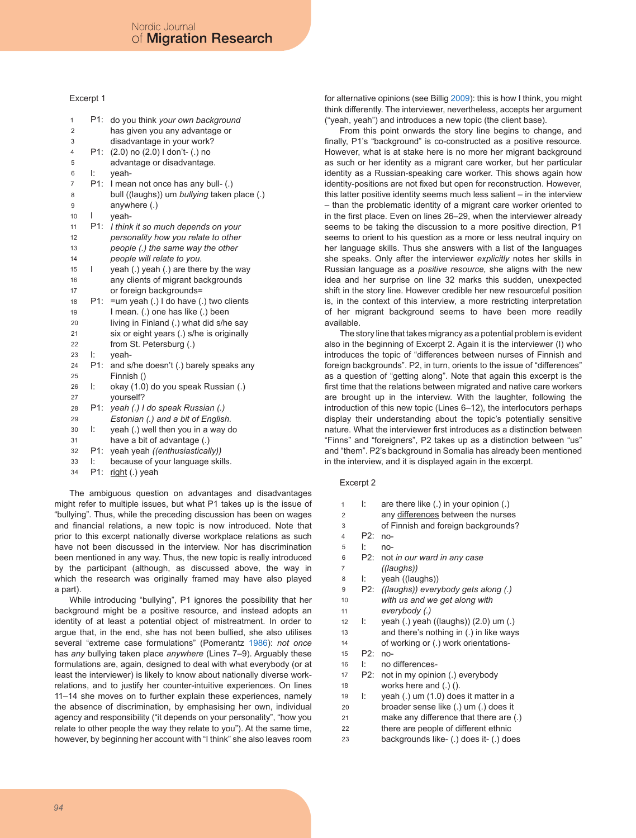#### Excerpt 1

| 1              | P1: | do you think your own background            |
|----------------|-----|---------------------------------------------|
| $\overline{2}$ |     | has given you any advantage or              |
| 3              |     | disadvantage in your work?                  |
| $\overline{4}$ | P1: | (2.0) no (2.0) I don't- (.) no              |
| 5              |     | advantage or disadvantage.                  |
| 6              | ŀ.  | yeah-                                       |
| $\overline{7}$ | P1: | I mean not once has any bull- (.)           |
| 8              |     | bull ((laughs)) um bullying taken place (.) |
| 9              |     | anywhere (.)                                |
| 10             | L   | yeah-                                       |
| 11             | P1: | I think it so much depends on your          |
| 12             |     | personality how you relate to other         |
| 13             |     | people (.) the same way the other           |
| 14             |     | people will relate to you.                  |
| 15             | I   | yeah (.) yeah (.) are there by the way      |
| 16             |     | any clients of migrant backgrounds          |
| 17             |     | or foreign backgrounds=                     |
| 18             | P1: | =um yeah (.) I do have (.) two clients      |
| 19             |     | I mean. (.) one has like (.) been           |
| 20             |     | living in Finland (.) what did s/he say     |
| 21             |     | six or eight years (.) s/he is originally   |
| 22             |     | from St. Petersburg (.)                     |
| 23             | ŀ.  | yeah-                                       |
| 24             | P1: | and s/he doesn't (.) barely speaks any      |
| 25             |     | Finnish ()                                  |
| 26             | Ŀ   | okay (1.0) do you speak Russian (.)         |
| 27             |     | yourself?                                   |
| 28             | P1: | yeah (.) I do speak Russian (.)             |
| 29             |     | Estonian (.) and a bit of English.          |
| 30             | ŀ.  | yeah (.) well then you in a way do          |
| 31             |     | have a bit of advantage (.)                 |
| 32             | P1: | yeah yeah ((enthusiastically))              |
| 33             | Ŀ   | because of your language skills.            |
| 34             | P1: | right (.) yeah                              |

The ambiguous question on advantages and disadvantages might refer to multiple issues, but what P1 takes up is the issue of "bullying". Thus, while the preceding discussion has been on wages and financial relations, a new topic is now introduced. Note that prior to this excerpt nationally diverse workplace relations as such have not been discussed in the interview. Nor has discrimination been mentioned in any way. Thus, the new topic is really introduced by the participant (although, as discussed above, the way in which the research was originally framed may have also played a part).

While introducing "bullying", P1 ignores the possibility that her background might be a positive resource, and instead adopts an identity of at least a potential object of mistreatment. In order to argue that, in the end, she has not been bullied, she also utilises several "extreme case formulations" (Pomerantz 1986): *not once* has *any* bullying taken place *anywhere* (Lines 7–9). Arguably these formulations are, again, designed to deal with what everybody (or at least the interviewer) is likely to know about nationally diverse workrelations, and to justify her counter-intuitive experiences. On lines 11–14 she moves on to further explain these experiences, namely the absence of discrimination, by emphasising her own, individual agency and responsibility ("it depends on your personality", "how you relate to other people the way they relate to you"). At the same time, however, by beginning her account with "I think" she also leaves room for alternative opinions (see Billig 2009): this is how I think, you might think differently. The interviewer, nevertheless, accepts her argument ("yeah, yeah") and introduces a new topic (the client base).

From this point onwards the story line begins to change, and finally, P1's "background" is co-constructed as a positive resource. However, what is at stake here is no more her migrant background as such or her identity as a migrant care worker, but her particular identity as a Russian-speaking care worker. This shows again how identity-positions are not fixed but open for reconstruction. However, this latter positive identity seems much less salient – in the interview – than the problematic identity of a migrant care worker oriented to in the first place. Even on lines 26–29, when the interviewer already seems to be taking the discussion to a more positive direction, P1 seems to orient to his question as a more or less neutral inquiry on her language skills. Thus she answers with a list of the languages she speaks. Only after the interviewer *explicitly* notes her skills in Russian language as a *positive resource,* she aligns with the new idea and her surprise on line 32 marks this sudden, unexpected shift in the story line. However credible her new resourceful position is, in the context of this interview, a more restricting interpretation of her migrant background seems to have been more readily available.

The story line that takes migrancy as a potential problem is evident also in the beginning of Excerpt 2. Again it is the interviewer (I) who introduces the topic of "differences between nurses of Finnish and foreign backgrounds". P2, in turn, orients to the issue of "differences" as a question of "getting along". Note that again this excerpt is the first time that the relations between migrated and native care workers are brought up in the interview. With the laughter, following the introduction of this new topic (Lines 6–12), the interlocutors perhaps display their understanding about the topic's potentially sensitive nature. What the interviewer first introduces as a distinction between "Finns" and "foreigners", P2 takes up as a distinction between "us" and "them". P2's background in Somalia has already been mentioned in the interview, and it is displayed again in the excerpt.

#### Excerpt 2

| 1              | Ŀ   | are there like (.) in your opinion (.)              |
|----------------|-----|-----------------------------------------------------|
| $\overline{2}$ |     | any differences between the nurses                  |
| 3              |     | of Finnish and foreign backgrounds?                 |
| $\overline{4}$ | P2: | $no-$                                               |
| 5              | Ŀ.  | $no-$                                               |
| 6              | P2: | not in our ward in any case                         |
| $\overline{7}$ |     | ((laughs))                                          |
| 8              | Ŀ.  | yeah ((laughs))                                     |
| 9              |     | P2: ((laughs)) everybody gets along (.)             |
| 10             |     | with us and we get along with                       |
| 11             |     | everybody (.)                                       |
| 12             | Ŀ.  | yeah $(.)$ yeah $((\text{aughs}))$ $(2.0)$ um $(.)$ |
| 13             |     | and there's nothing in (.) in like ways             |
| 14             |     | of working or (.) work orientations-                |
| 15             | P2: | $no-$                                               |
| 16             | Ŀ   | no differences-                                     |
| 17             | P2: | not in my opinion (.) everybody                     |
| 18             |     | works here and $(.)$ $()$ .                         |
| 19             | Ŀ   | yeah (.) um (1.0) does it matter in a               |
| 20             |     | broader sense like (.) um (.) does it               |
| 21             |     | make any difference that there are (.)              |
| 22             |     | there are people of different ethnic                |
| 23             |     | backgrounds like- (.) does it- (.) does             |
|                |     |                                                     |
|                |     |                                                     |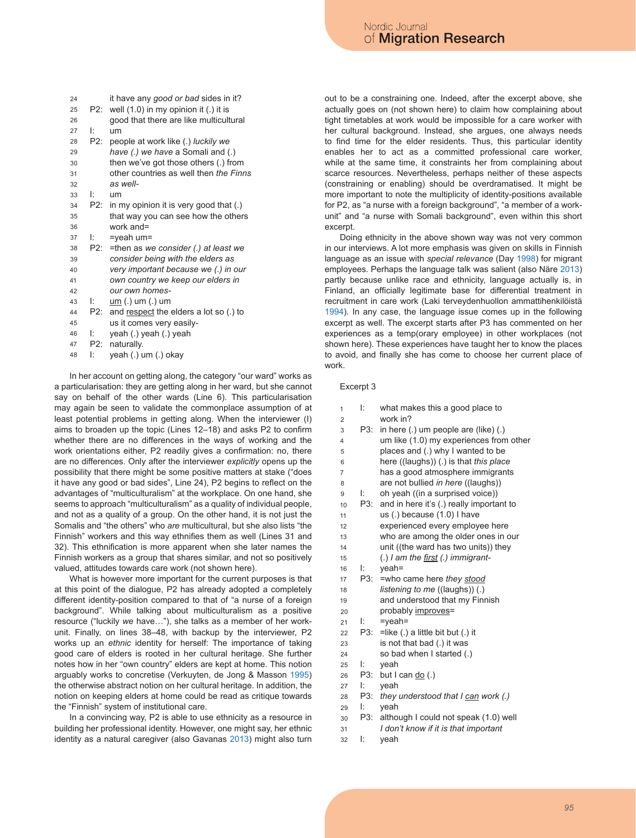| 24 |     | it have any good or bad sides in it?      |
|----|-----|-------------------------------------------|
| 25 | P2: | well $(1.0)$ in my opinion it $(.)$ it is |
| 26 |     | good that there are like multicultural    |
| 27 | ŀ   | $\mathsf{I}$                              |
| 28 | P2: | people at work like (.) luckily we        |
| 29 |     | have (.) we have a Somali and (.)         |
| 30 |     | then we've got those others (.) from      |
| 31 |     | other countries as well then the Finns    |
| 32 |     | as well-                                  |
| 33 | Ŀ   | um                                        |
| 34 | P2: | in my opinion it is very good that ()     |
| 35 |     | that way you can see how the others       |
| 36 |     | work $and =$                              |
| 37 | Ŀ.  | $=$ veah um $=$                           |
| 38 | P2: | =then as we consider (.) at least we      |
| 39 |     | consider being with the elders as         |
| 40 |     | very important because we (.) in our      |
| 41 |     | own country we keep our elders in         |
| 42 |     | our own homes-                            |
| 43 | Ŀ.  | $um(.)$ um $(.)$ um                       |
| 44 | P2: | and respect the elders a lot so (.) to    |
| 45 |     | us it comes very easily-                  |
| 46 | Ŀ.  | yeah (.) yeah (.) yeah                    |
| 47 | P2: | naturally.                                |
| 48 | Ŀ   | yeah (.) um (.) okay                      |
|    |     |                                           |

In her account on getting along, the category "our ward" works as a particularisation: they are getting along in her ward, but she cannot say on behalf of the other wards (Line 6). This particularisation may again be seen to validate the commonplace assumption of at least potential problems in getting along. When the interviewer (I) aims to broaden up the topic (Lines 12–18) and asks P2 to confirm whether there are no differences in the ways of working and the work orientations either, P2 readily gives a confirmation: no, there are no differences. Only after the interviewer *explicitly* opens up the possibility that there might be some positive matters at stake ("does it have any good or bad sides", Line 24), P2 begins to reflect on the advantages of "multiculturalism" at the workplace. On one hand, she seems to approach "multiculturalism" as a quality of individual people, and not as a quality of a group. On the other hand, it is not just the Somalis and "the others" who *are* multicultural, but she also lists "the Finnish" workers and this way ethnifies them as well (Lines 31 and 32). This ethnification is more apparent when she later names the Finnish workers as a group that shares similar, and not so positively valued, attitudes towards care work (not shown here).

What is however more important for the current purposes is that at this point of the dialogue, P2 has already adopted a completely different identity-position compared to that of "a nurse of a foreign background". While talking about multiculturalism as a positive resource ("luckily *we* have…"), she talks as a member of her workunit. Finally, on lines 38–48, with backup by the interviewer, P2 works up an *ethnic* identity for herself: The importance of taking good care of elders is rooted in her cultural heritage. She further notes how in her "own country" elders are kept at home. This notion arguably works to concretise (Verkuyten, de Jong & Masson 1995) the otherwise abstract notion on her cultural heritage. In addition, the notion on keeping elders at home could be read as critique towards the "Finnish" system of institutional care.

In a convincing way, P2 is able to use ethnicity as a resource in building her professional identity. However, one might say, her ethnic identity as a natural caregiver (also Gavanas 2013) might also turn out to be a constraining one. Indeed, after the excerpt above, she actually goes on (not shown here) to claim how complaining about tight timetables at work would be impossible for a care worker with her cultural background. Instead, she argues, one always needs to find time for the elder residents. Thus, this particular identity enables her to act as a committed professional care worker, while at the same time, it constraints her from complaining about scarce resources. Nevertheless, perhaps neither of these aspects (constraining or enabling) should be overdramatised. It might be more important to note the multiplicity of identity-positions available for P2, as "a nurse with a foreign background", "a member of a workunit" and "a nurse with Somali background", even within this short excerpt.

Doing ethnicity in the above shown way was not very common in our interviews. A lot more emphasis was given on skills in Finnish language as an issue with *special relevance* (Day 1998) for migrant employees. Perhaps the language talk was salient (also Näre 2013) partly because unlike race and ethnicity, language actually is, in Finland, an officially legitimate base for differential treatment in recruitment in care work (Laki terveydenhuollon ammattihenkilöistä 1994). In any case, the language issue comes up in the following excerpt as well. The excerpt starts after P3 has commented on her experiences as a temp(orary employee) in other workplaces (not shown here). These experiences have taught her to know the places to avoid, and finally she has come to choose her current place of work.

#### Excerpt 3

| 1              | Ŀ   | what makes this a good place to            |
|----------------|-----|--------------------------------------------|
| $\overline{2}$ |     | work in?                                   |
| 3              | P3: | in here $(.)$ um people are $(like)$ $(.)$ |
| 4              |     | um like (1.0) my experiences from other    |
| 5              |     | places and (.) why I wanted to be          |
| 6              |     | here ((laughs)) (.) is that this place     |
| 7              |     | has a good atmosphere immigrants           |
| 8              |     | are not bullied in here ((laughs))         |
| 9              | ŀ.  | oh yeah ((in a surprised voice))           |
| 10             | P3: | and in here it's (.) really important to   |
| 11             |     | us (.) because (1.0) I have                |
| 12             |     | experienced every employee here            |
| 13             |     | who are among the older ones in our        |
| 14             |     | unit ((the ward has two units)) they       |
| 15             |     | $(.)$ I am the first $(.)$ immigrant-      |
| 16             | Ŀ.  | $veah =$                                   |
| 17             | P3: | =who came here they stood                  |
| 18             |     | <i>listening to me</i> ((laughs)) $(.)$    |
| 19             |     | and understood that my Finnish             |
| 20             |     | probably improves=                         |
| 21             | Ŀ   | $=$ yeah $=$                               |
| 22             | P3: | $=$ like $(.)$ a little bit but $(.)$ it   |
| 23             |     | is not that bad (.) it was                 |
| 24             |     | so bad when I started (.)                  |
| 25             | ŀ.  | yeah                                       |
| 26             | P3: | but I can do (.)                           |
| 27             | Ŀ   | veah                                       |
| 28             | P3: | they understood that I can work (.)        |
| 29             | Ŀ   | veah                                       |
| 30             | P3: | although I could not speak (1.0) well      |
| 31             |     | I don't know if it is that important       |
| 32             | Ŀ   | veah                                       |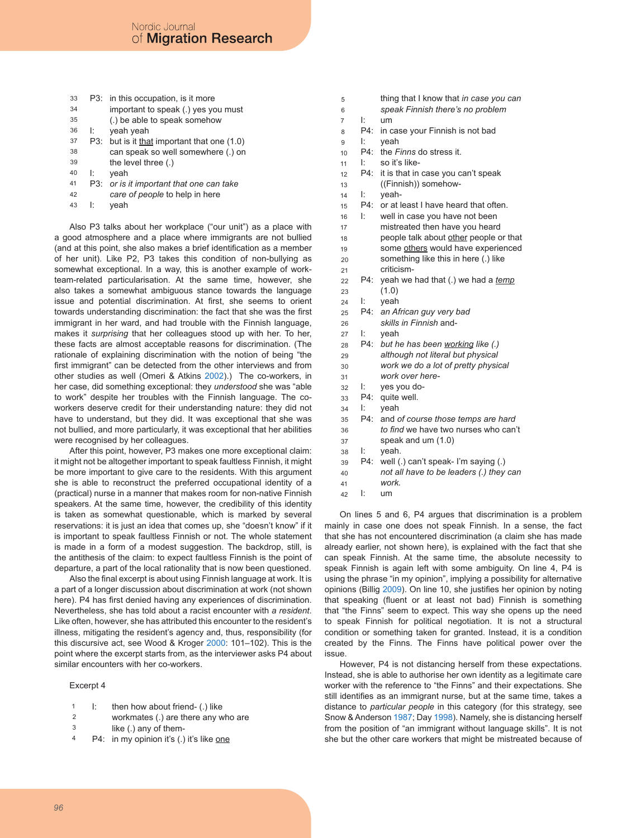| 33 |     | P3: in this occupation, is it more       |
|----|-----|------------------------------------------|
| 34 |     | important to speak (.) yes you must      |
| 35 |     | (.) be able to speak somehow             |
| 36 | Ŀ   | yeah yeah                                |
| 37 | P3: | but is it that important that one (1.0)  |
| 38 |     | can speak so well somewhere (.) on       |
| 39 |     | the level three (.)                      |
| 40 | Ŀ   | yeah                                     |
| 41 |     | P3: or is it important that one can take |
| 42 |     | care of people to help in here           |
| 43 | ŀ   | yeah                                     |

Also P3 talks about her workplace ("our unit") as a place with a good atmosphere and a place where immigrants are not bullied (and at this point, she also makes a brief identification as a member of her unit). Like P2, P3 takes this condition of non-bullying as somewhat exceptional. In a way, this is another example of workteam-related particularisation. At the same time, however, she also takes a somewhat ambiguous stance towards the language issue and potential discrimination. At first, she seems to orient towards understanding discrimination: the fact that she was the first immigrant in her ward, and had trouble with the Finnish language, makes it *surprising* that her colleagues stood up with her. To her, these facts are almost acceptable reasons for discrimination. (The rationale of explaining discrimination with the notion of being "the first immigrant" can be detected from the other interviews and from other studies as well (Omeri & Atkins 2002).) The co-workers, in her case, did something exceptional: they *understood* she was "able to work" despite her troubles with the Finnish language. The coworkers deserve credit for their understanding nature: they did not have to understand, but they did. It was exceptional that she was not bullied, and more particularly, it was exceptional that her abilities were recognised by her colleagues.

After this point, however, P3 makes one more exceptional claim: it might not be altogether important to speak faultless Finnish, it might be more important to give care to the residents. With this argument she is able to reconstruct the preferred occupational identity of a (practical) nurse in a manner that makes room for non-native Finnish speakers. At the same time, however, the credibility of this identity is taken as somewhat questionable, which is marked by several reservations: it is just an idea that comes up, she "doesn't know" if it is important to speak faultless Finnish or not. The whole statement is made in a form of a modest suggestion. The backdrop, still, is the antithesis of the claim: to expect faultless Finnish is the point of departure, a part of the local rationality that is now been questioned.

Also the final excerpt is about using Finnish language at work. It is a part of a longer discussion about discrimination at work (not shown here). P4 has first denied having any experiences of discrimination. Nevertheless, she has told about a racist encounter with *a resident*. Like often, however, she has attributed this encounter to the resident's illness, mitigating the resident's agency and, thus, responsibility (for this discursive act, see Wood & Kroger 2000: 101–102). This is the point where the excerpt starts from, as the interviewer asks P4 about similar encounters with her co-workers.

#### Excerpt 4

- then how about friend- (.) like 1 I:
- workmates (.) are there any who are 2
- like (.) any of them-3
- P4:  $\,$  in my opinion it's (.) it's like <u>one</u> 4

| 5                   |     | thing that I know that in case you can<br>speak Finnish there's no problem |
|---------------------|-----|----------------------------------------------------------------------------|
| 6<br>$\overline{7}$ | Ŀ   | $\mathsf{I}$                                                               |
| 8                   | P4: | in case your Finnish is not bad                                            |
| 9                   | Ŀ   | veah                                                                       |
| 10                  | P4: | the Finns do stress it.                                                    |
| 11                  | Ŀ   | so it's like-                                                              |
| 12                  | P4: | it is that in case you can't speak                                         |
| 13                  |     | ((Finnish)) somehow-                                                       |
| 14                  | Ŀ   | yeah-                                                                      |
| 15                  | P4: | or at least I have heard that often.                                       |
| 16                  | Ŀ   | well in case you have not been                                             |
| 17                  |     | mistreated then have you heard                                             |
| 18                  |     | people talk about other people or that                                     |
| 19                  |     | some others would have experienced                                         |
| 20                  |     | something like this in here (.) like                                       |
| 21                  |     | criticism-                                                                 |
| 22                  | P4: | yeah we had that (.) we had a temp                                         |
| 23                  |     | (1.0)                                                                      |
| 24                  | Ŀ   | yeah                                                                       |
| 25                  | P4: | an African guy very bad                                                    |
| 26                  |     | skills in Finnish and-                                                     |
| 27                  | Ŀ   | yeah                                                                       |
| 28                  | P4: | but he has been working like (.)                                           |
| 29                  |     | although not literal but physical                                          |
| 30                  |     | work we do a lot of pretty physical                                        |
| 31                  |     | work over here-                                                            |
| 32                  | Ŀ   | yes you do-                                                                |
| 33                  | P4: | quite well.                                                                |
| 34                  | Ŀ   | veah                                                                       |
| 35                  | P4: | and of course those temps are hard                                         |
| 36                  |     | to find we have two nurses who can't                                       |
| 37                  |     | speak and um (1.0)                                                         |
| 38                  | Ŀ   | yeah.                                                                      |
| 39                  | P4: | well (.) can't speak- I'm saying (.)                                       |
| 40                  |     | not all have to be leaders (.) they can                                    |
| 41                  |     | work                                                                       |
| 42                  | ŀ   | um                                                                         |

On lines 5 and 6, P4 argues that discrimination is a problem mainly in case one does not speak Finnish. In a sense, the fact that she has not encountered discrimination (a claim she has made already earlier, not shown here), is explained with the fact that she can speak Finnish. At the same time, the absolute necessity to speak Finnish is again left with some ambiguity. On line 4, P4 is using the phrase "in my opinion", implying a possibility for alternative opinions (Billig 2009). On line 10, she justifies her opinion by noting that speaking (fluent or at least not bad) Finnish is something that "the Finns" seem to expect. This way she opens up the need to speak Finnish for political negotiation. It is not a structural condition or something taken for granted. Instead, it is a condition created by the Finns. The Finns have political power over the issue.

However, P4 is not distancing herself from these expectations. Instead, she is able to authorise her own identity as a legitimate care worker with the reference to "the Finns" and their expectations. She still identifies as an immigrant nurse, but at the same time, takes a distance to *particular people* in this category (for this strategy, see Snow & Anderson 1987; Day 1998). Namely, she is distancing herself from the position of "an immigrant without language skills". It is not she but the other care workers that might be mistreated because of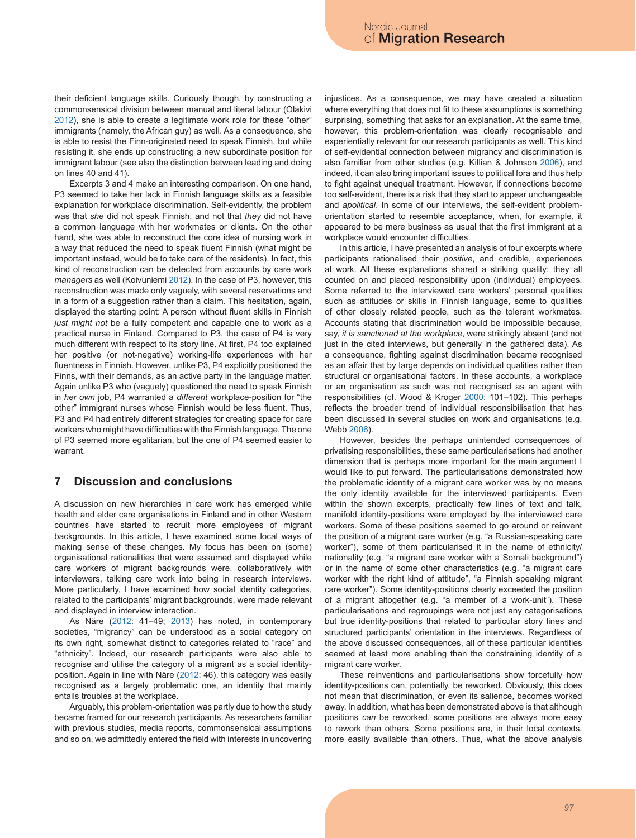their deficient language skills. Curiously though, by constructing a commonsensical division between manual and literal labour (Olakivi 2012), she is able to create a legitimate work role for these "other" immigrants (namely, the African guy) as well. As a consequence, she is able to resist the Finn-originated need to speak Finnish, but while resisting it, she ends up constructing a new subordinate position for immigrant labour (see also the distinction between leading and doing on lines 40 and 41).

Excerpts 3 and 4 make an interesting comparison. On one hand, P3 seemed to take her lack in Finnish language skills as a feasible explanation for workplace discrimination. Self-evidently, the problem was that *she* did not speak Finnish, and not that *they* did not have a common language with her workmates or clients. On the other hand, she was able to reconstruct the core idea of nursing work in a way that reduced the need to speak fluent Finnish (what might be important instead, would be to take care of the residents). In fact, this kind of reconstruction can be detected from accounts by care work *managers* as well (Koivuniemi 2012). In the case of P3, however, this reconstruction was made only vaguely, with several reservations and in a form of a suggestion rather than a claim. This hesitation, again, displayed the starting point: A person without fluent skills in Finnish *just might not* be a fully competent and capable one to work as a practical nurse in Finland. Compared to P3, the case of P4 is very much different with respect to its story line. At first, P4 too explained her positive (or not-negative) working-life experiences with her fluentness in Finnish. However, unlike P3, P4 explicitly positioned the Finns, with their demands, as an active party in the language matter. Again unlike P3 who (vaguely) questioned the need to speak Finnish in *her own* job, P4 warranted a *different* workplace-position for "the other" immigrant nurses whose Finnish would be less fluent. Thus, P3 and P4 had entirely different strategies for creating space for care workers who might have difficulties with the Finnish language. The one of P3 seemed more egalitarian, but the one of P4 seemed easier to warrant.

# **7 Discussion and conclusions**

A discussion on new hierarchies in care work has emerged while health and elder care organisations in Finland and in other Western countries have started to recruit more employees of migrant backgrounds. In this article, I have examined some local ways of making sense of these changes. My focus has been on (some) organisational rationalities that were assumed and displayed while care workers of migrant backgrounds were, collaboratively with interviewers, talking care work into being in research interviews. More particularly, I have examined how social identity categories, related to the participants' migrant backgrounds, were made relevant and displayed in interview interaction.

As Näre (2012: 41–49; 2013) has noted, in contemporary societies, "migrancy" can be understood as a social category on its own right, somewhat distinct to categories related to "race" and "ethnicity". Indeed, our research participants were also able to recognise and utilise the category of a migrant as a social identityposition. Again in line with Näre (2012: 46), this category was easily recognised as a largely problematic one, an identity that mainly entails troubles at the workplace.

Arguably, this problem-orientation was partly due to how the study became framed for our research participants. As researchers familiar with previous studies, media reports, commonsensical assumptions and so on, we admittedly entered the field with interests in uncovering injustices. As a consequence, we may have created a situation where everything that does not fit to these assumptions is something surprising, something that asks for an explanation. At the same time, however, this problem-orientation was clearly recognisable and experientially relevant for our research participants as well. This kind of self-evidential connection between migrancy and discrimination is also familiar from other studies (e.g. Killian & Johnson 2006), and indeed, it can also bring important issues to political fora and thus help to fight against unequal treatment. However, if connections become too self-evident, there is a risk that they start to appear unchangeable and *apolitical*. In some of our interviews, the self-evident problemorientation started to resemble acceptance, when, for example, it appeared to be mere business as usual that the first immigrant at a workplace would encounter difficulties.

In this article, I have presented an analysis of four excerpts where participants rationalised their *positive*, and credible, experiences at work. All these explanations shared a striking quality: they all counted on and placed responsibility upon (individual) employees. Some referred to the interviewed care workers' personal qualities such as attitudes or skills in Finnish language, some to qualities of other closely related people, such as the tolerant workmates. Accounts stating that discrimination would be impossible because, say, *it is sanctioned at the workplace*, were strikingly absent (and not just in the cited interviews, but generally in the gathered data). As a consequence, fighting against discrimination became recognised as an affair that by large depends on individual qualities rather than structural or organisational factors. In these accounts, a workplace or an organisation as such was not recognised as an agent with responsibilities (cf. Wood & Kroger 2000: 101–102). This perhaps reflects the broader trend of individual responsibilisation that has been discussed in several studies on work and organisations (e.g. Webb 2006).

However, besides the perhaps unintended consequences of privatising responsibilities, these same particularisations had another dimension that is perhaps more important for the main argument I would like to put forward. The particularisations demonstrated how the problematic identity of a migrant care worker was by no means the only identity available for the interviewed participants. Even within the shown excerpts, practically few lines of text and talk, manifold identity-positions were employed by the interviewed care workers. Some of these positions seemed to go around or reinvent the position of a migrant care worker (e.g. "a Russian-speaking care worker"), some of them particularised it in the name of ethnicity/ nationality (e.g. "a migrant care worker with a Somali background") or in the name of some other characteristics (e.g. "a migrant care worker with the right kind of attitude", "a Finnish speaking migrant care worker"). Some identity-positions clearly exceeded the position of a migrant altogether (e.g. "a member of a work-unit"). These particularisations and regroupings were not just any categorisations but true identity-positions that related to particular story lines and structured participants' orientation in the interviews. Regardless of the above discussed consequences, all of these particular identities seemed at least more enabling than the constraining identity of a migrant care worker.

These reinventions and particularisations show forcefully how identity-positions can, potentially, be reworked. Obviously, this does not mean that discrimination, or even its salience, becomes worked away. In addition, what has been demonstrated above is that although positions *can* be reworked, some positions are always more easy to rework than others. Some positions are, in their local contexts, more easily available than others. Thus, what the above analysis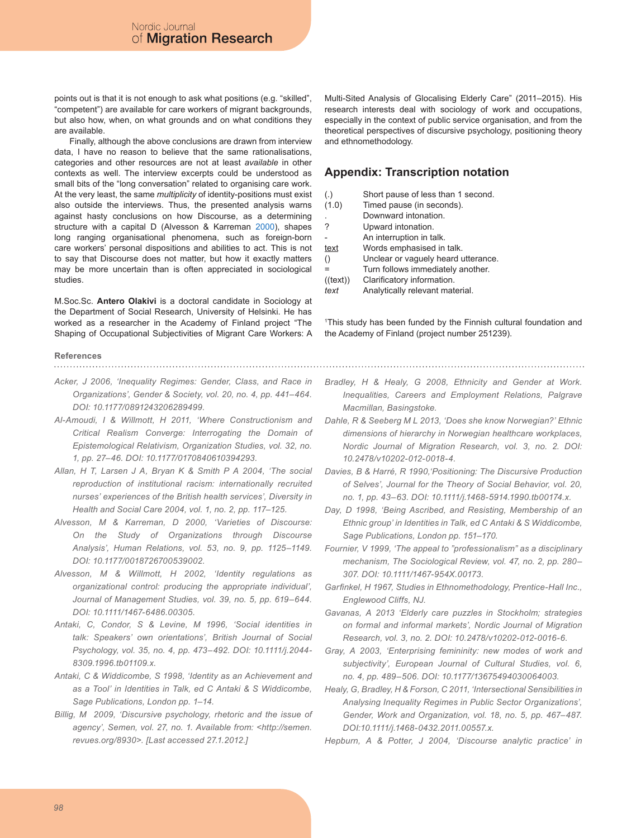points out is that it is not enough to ask what positions (e.g. "skilled", "competent") are available for care workers of migrant backgrounds, but also how, when, on what grounds and on what conditions they are available.

Finally, although the above conclusions are drawn from interview data, I have no reason to believe that the same rationalisations, categories and other resources are not at least *available* in other contexts as well. The interview excerpts could be understood as small bits of the "long conversation" related to organising care work. At the very least, the same *multiplicity* of identity-positions must exist also outside the interviews. Thus, the presented analysis warns against hasty conclusions on how Discourse, as a determining structure with a capital D (Alvesson & Karreman 2000), shapes long ranging organisational phenomena, such as foreign-born care workers' personal dispositions and abilities to act. This is not to say that Discourse does not matter, but how it exactly matters may be more uncertain than is often appreciated in sociological studies.

M.Soc.Sc. **Antero Olakivi** is a doctoral candidate in Sociology at the Department of Social Research, University of Helsinki. He has worked as a researcher in the Academy of Finland project "The Shaping of Occupational Subjectivities of Migrant Care Workers: A Multi-Sited Analysis of Glocalising Elderly Care" (2011–2015). His research interests deal with sociology of work and occupations, especially in the context of public service organisation, and from the theoretical perspectives of discursive psychology, positioning theory and ethnomethodology.

## **Appendix: Transcription notation**

- (.) Short pause of less than 1 second.<br>(1.0) Timed pause (in seconds).
- Timed pause (in seconds).
- . Downward intonation.<br>
2 Upward intonation. Upward intonation.
- An interruption in talk.
- text Words emphasised in talk.
- () Unclear or vaguely heard utterance.
- = Turn follows immediately another.
- ((text)) Clarificatory information.
- *text* Analytically relevant material.

1 This study has been funded by the Finnish cultural foundation and the Academy of Finland (project number 251239).

# **References**

- *Acker, J 2006, 'Inequality Regimes: Gender, Class, and Race in Organizations', Gender & Society, vol. 20, no. 4, pp. 441–464. DOI: 10.1177/0891243206289499.*
- *Al-Amoudi, I & Willmott, H 2011, 'Where Constructionism and Critical Realism Converge: Interrogating the Domain of Epistemological Relativism, Organization Studies, vol. 32, no. 1, pp. 27–46. DOI: 10.1177/0170840610394293.*
- *Allan, H T, Larsen J A, Bryan K & Smith P A 2004, 'The social reproduction of institutional racism: internationally recruited nurses' experiences of the British health services', Diversity in Health and Social Care 2004, vol. 1, no. 2, pp. 117–125.*
- *Alvesson, M & Karreman, D 2000, 'Varieties of Discourse: On the Study of Organizations through Discourse Analysis', Human Relations, vol. 53, no. 9, pp. 1125–1149. DOI: 10.1177/0018726700539002.*
- *Alvesson, M & Willmott, H 2002, 'Identity regulations as organizational control: producing the appropriate individual', Journal of Management Studies, vol. 39, no. 5, pp. 619–644. DOI: 10.1111/1467-6486.00305.*
- *Antaki, C, Condor, S & Levine, M 1996, 'Social identities in talk: Speakers' own orientations', British Journal of Social Psychology, vol. 35, no. 4, pp. 473–492. DOI: 10.1111/j.2044- 8309.1996.tb01109.x.*
- *Antaki, C & Widdicombe, S 1998, 'Identity as an Achievement and as a Tool' in Identities in Talk, ed C Antaki & S Widdicombe, Sage Publications, London pp. 1–14.*
- *Billig, M 2009, 'Discursive psychology, rhetoric and the issue of agency', Semen, vol. 27, no. 1. Available from: <http://semen. revues.org/8930>. [Last accessed 27.1.2012.]*
- *Bradley, H & Healy, G 2008, Ethnicity and Gender at Work. Inequalities, Careers and Employment Relations, Palgrave Macmillan, Basingstoke.*
- *Dahle, R & Seeberg M L 2013, 'Does she know Norwegian?' Ethnic dimensions of hierarchy in Norwegian healthcare workplaces, Nordic Journal of Migration Research, vol. 3, no. 2. DOI: 10.2478/v10202-012-0018-4.*
- *Davies, B & Harré, R 1990,'Positioning: The Discursive Production of Selves', Journal for the Theory of Social Behavior, vol. 20, no. 1, pp. 43–63. DOI: 10.1111/j.1468-5914.1990.tb00174.x.*
- *Day, D 1998, 'Being Ascribed, and Resisting, Membership of an Ethnic group' in Identities in Talk, ed C Antaki & S Widdicombe, Sage Publications, London pp. 151–170.*
- *Fournier, V 1999, 'The appeal to "professionalism" as a disciplinary mechanism, The Sociological Review, vol. 47, no. 2, pp. 280– 307. DOI: 10.1111/1467-954X.00173.*
- *Garfinkel, H 1967, Studies in Ethnomethodology, Prentice-Hall Inc., Englewood Cliffs, NJ.*
- *Gavanas, A 2013 'Elderly care puzzles in Stockholm; strategies on formal and informal markets', Nordic Journal of Migration Research, vol. 3, no. 2. DOI: 10.2478/v10202-012-0016-6.*
- *Gray, A 2003, 'Enterprising femininity: new modes of work and subjectivity', European Journal of Cultural Studies, vol. 6, no. 4, pp. 489–506. DOI: 10.1177/13675494030064003.*
- *Healy, G, Bradley, H & Forson, C 2011, 'Intersectional Sensibilities in Analysing Inequality Regimes in Public Sector Organizations', Gender, Work and Organization, vol. 18, no. 5, pp. 467–487. DOI:10.1111/j.1468-0432.2011.00557.x.*
- *Hepburn, A & Potter, J 2004, 'Discourse analytic practice' in*